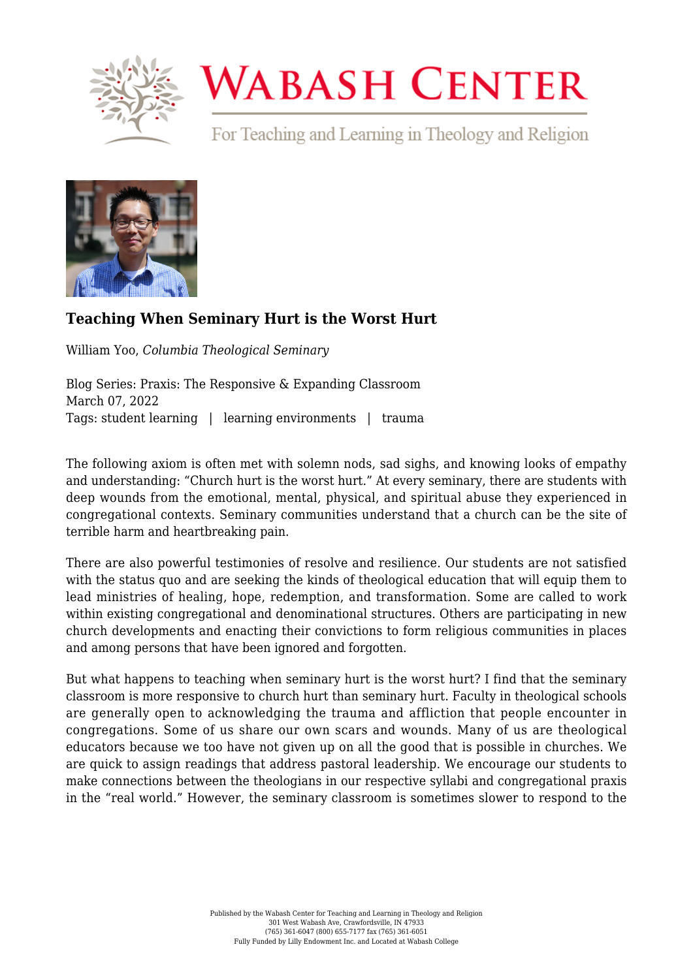

## **WABASH CENTER**

For Teaching and Learning in Theology and Religion



## **[Teaching When Seminary Hurt is the Worst Hurt](https://www.wabashcenter.wabash.edu/2022/03/teaching-when-seminary-hurt-is-the-worst-hurt/)**

William Yoo, *Columbia Theological Seminary*

Blog Series: Praxis: The Responsive & Expanding Classroom March 07, 2022 Tags: student learning | learning environments | trauma

The following axiom is often met with solemn nods, sad sighs, and knowing looks of empathy and understanding: "Church hurt is the worst hurt." At every seminary, there are students with deep wounds from the emotional, mental, physical, and spiritual abuse they experienced in congregational contexts. Seminary communities understand that a church can be the site of terrible harm and heartbreaking pain.

There are also powerful testimonies of resolve and resilience. Our students are not satisfied with the status quo and are seeking the kinds of theological education that will equip them to lead ministries of healing, hope, redemption, and transformation. Some are called to work within existing congregational and denominational structures. Others are participating in new church developments and enacting their convictions to form religious communities in places and among persons that have been ignored and forgotten.

But what happens to teaching when seminary hurt is the worst hurt? I find that the seminary classroom is more responsive to church hurt than seminary hurt. Faculty in theological schools are generally open to acknowledging the trauma and affliction that people encounter in congregations. Some of us share our own scars and wounds. Many of us are theological educators because we too have not given up on all the good that is possible in churches. We are quick to assign readings that address pastoral leadership. We encourage our students to make connections between the theologians in our respective syllabi and congregational praxis in the "real world." However, the seminary classroom is sometimes slower to respond to the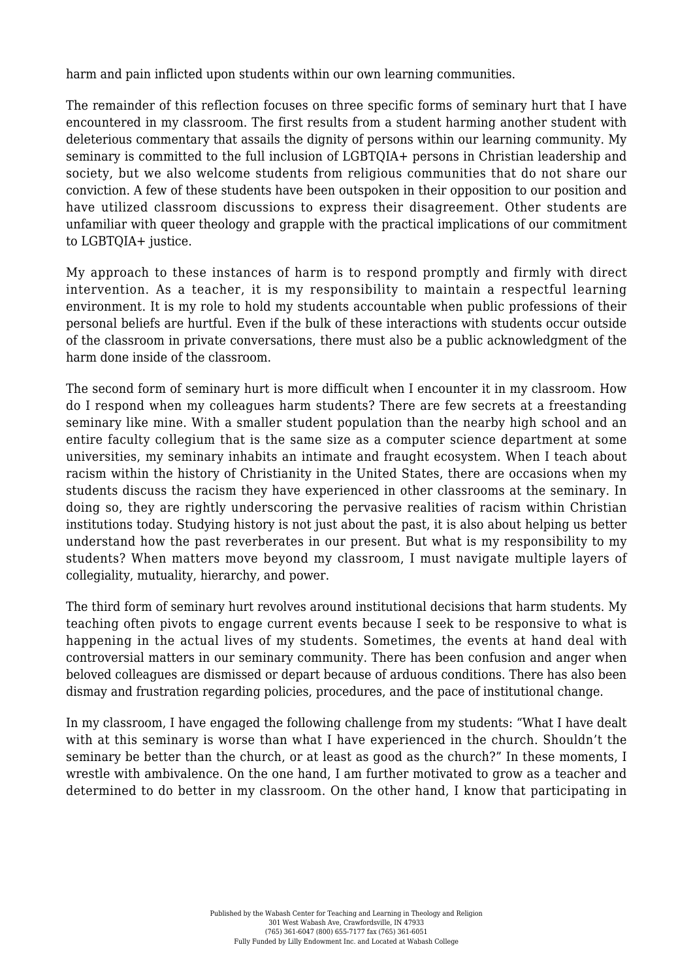harm and pain inflicted upon students within our own learning communities.

The remainder of this reflection focuses on three specific forms of seminary hurt that I have encountered in my classroom. The first results from a student harming another student with deleterious commentary that assails the dignity of persons within our learning community. My seminary is committed to the full inclusion of LGBTQIA+ persons in Christian leadership and society, but we also welcome students from religious communities that do not share our conviction. A few of these students have been outspoken in their opposition to our position and have utilized classroom discussions to express their disagreement. Other students are unfamiliar with queer theology and grapple with the practical implications of our commitment to LGBTQIA+ justice.

My approach to these instances of harm is to respond promptly and firmly with direct intervention. As a teacher, it is my responsibility to maintain a respectful learning environment. It is my role to hold my students accountable when public professions of their personal beliefs are hurtful. Even if the bulk of these interactions with students occur outside of the classroom in private conversations, there must also be a public acknowledgment of the harm done inside of the classroom.

The second form of seminary hurt is more difficult when I encounter it in my classroom. How do I respond when my colleagues harm students? There are few secrets at a freestanding seminary like mine. With a smaller student population than the nearby high school and an entire faculty collegium that is the same size as a computer science department at some universities, my seminary inhabits an intimate and fraught ecosystem. When I teach about racism within the history of Christianity in the United States, there are occasions when my students discuss the racism they have experienced in other classrooms at the seminary. In doing so, they are rightly underscoring the pervasive realities of racism within Christian institutions today. Studying history is not just about the past, it is also about helping us better understand how the past reverberates in our present. But what is my responsibility to my students? When matters move beyond my classroom, I must navigate multiple layers of collegiality, mutuality, hierarchy, and power.

The third form of seminary hurt revolves around institutional decisions that harm students. My teaching often pivots to engage current events because I seek to be responsive to what is happening in the actual lives of my students. Sometimes, the events at hand deal with controversial matters in our seminary community. There has been confusion and anger when beloved colleagues are dismissed or depart because of arduous conditions. There has also been dismay and frustration regarding policies, procedures, and the pace of institutional change.

In my classroom, I have engaged the following challenge from my students: "What I have dealt with at this seminary is worse than what I have experienced in the church. Shouldn't the seminary be better than the church, or at least as good as the church?" In these moments, I wrestle with ambivalence. On the one hand, I am further motivated to grow as a teacher and determined to do better in my classroom. On the other hand, I know that participating in